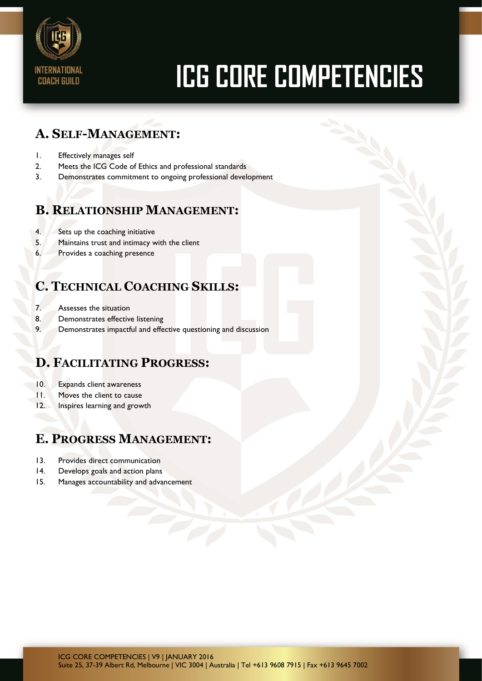

# **ICG CORE COMPETENCIES**

## **A. SELF-MANAGEMENT:**

- 1. Effectively manages self
- 2. Meets the ICG Code of Ethics and professional standards
- 3. Demonstrates commitment to ongoing professional development

## **B. RELATIONSHIP MANAGEMENT:**

- 4. Sets up the coaching initiative
- 5. Maintains trust and intimacy with the client
- 6. Provides a coaching presence

## **C. TECHNICAL COACHING SKILLS:**

- 7. Assesses the situation
- 8. Demonstrates effective listening
- 9. Demonstrates impactful and effective questioning and discussion

## **D. FACILITATING PROGRESS:**

- 10. Expands client awareness
- 11. Moves the client to cause
- 12. Inspires learning and growth

## **E. PROGRESS MANAGEMENT:**

- 13. Provides direct communication
- 14. Develops goals and action plans
- 15. Manages accountability and advancement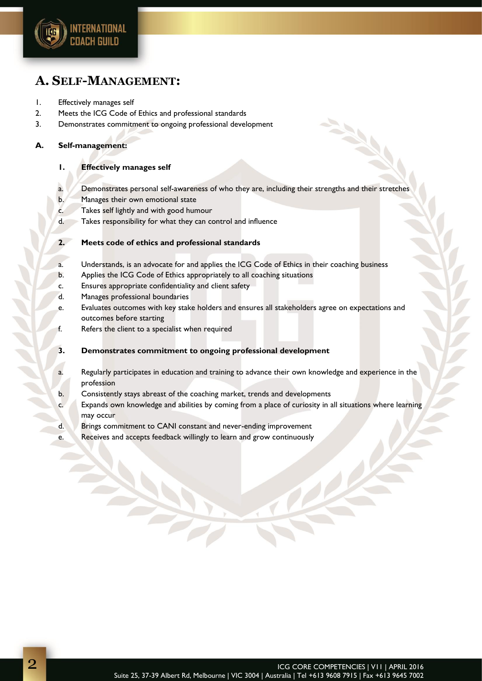

## **A. SELF-MANAGEMENT:**

- 1. Effectively manages self
- 2. Meets the ICG Code of Ethics and professional standards
- 3. Demonstrates commitment to ongoing professional development

#### **A. Self-management:**

#### **1. Effectively manages self**

- a. Demonstrates personal self-awareness of who they are, including their strengths and their stretches
- b. Manages their own emotional state
- c. Takes self lightly and with good humour
- d. Takes responsibility for what they can control and influence
- **2. Meets code of ethics and professional standards**
- a. Understands, is an advocate for and applies the ICG Code of Ethics in their coaching business
- b. Applies the ICG Code of Ethics appropriately to all coaching situations
- c. Ensures appropriate confidentiality and client safety
- d. Manages professional boundaries
- e. Evaluates outcomes with key stake holders and ensures all stakeholders agree on expectations and outcomes before starting
- f. Refers the client to a specialist when required

#### **3. Demonstrates commitment to ongoing professional development**

- a. Regularly participates in education and training to advance their own knowledge and experience in the profession
- b. Consistently stays abreast of the coaching market, trends and developments
- c. Expands own knowledge and abilities by coming from a place of curiosity in all situations where learning may occur
- d. Brings commitment to CANI constant and never-ending improvement
- e. Receives and accepts feedback willingly to learn and grow continuously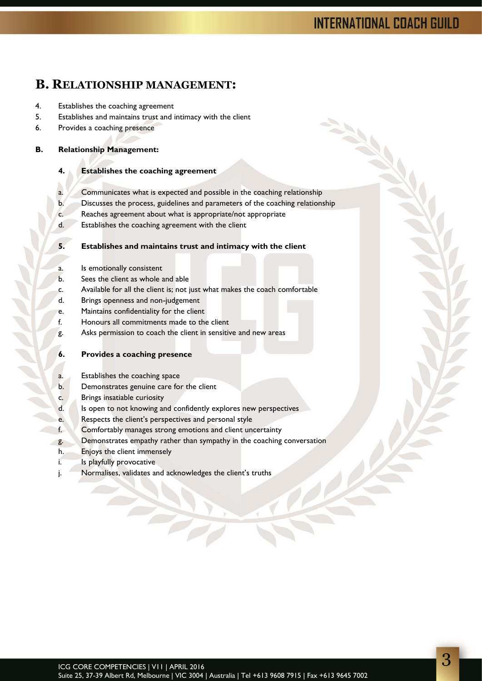# **INTERNATIONAL COACH GUILD**

## **B. RELATIONSHIP MANAGEMENT:**

- 4. Establishes the coaching agreement
- 5. Establishes and maintains trust and intimacy with the client
- 6. Provides a coaching presence

#### **B. Relationship Management:**

#### **4. Establishes the coaching agreement**

- a. Communicates what is expected and possible in the coaching relationship
- b. Discusses the process, guidelines and parameters of the coaching relationship
- c. Reaches agreement about what is appropriate/not appropriate
- d. Establishes the coaching agreement with the client

#### **5. Establishes and maintains trust and intimacy with the client**

- a. Is emotionally consistent
- b. Sees the client as whole and able
- c. Available for all the client is; not just what makes the coach comfortable
- d. Brings openness and non-judgement
- e. Maintains confidentiality for the client
- f. Honours all commitments made to the client
- g. Asks permission to coach the client in sensitive and new areas

#### **6. Provides a coaching presence**

- a. Establishes the coaching space
- b. Demonstrates genuine care for the client
- c. Brings insatiable curiosity
- d. Is open to not knowing and confidently explores new perspectives
- e. Respects the client's perspectives and personal style
- f. Comfortably manages strong emotions and client uncertainty
- g. Demonstrates empathy rather than sympathy in the coaching conversation
- h. Enjoys the client immensely
- i. Is playfully provocative
- j. Normalises, validates and acknowledges the client's truths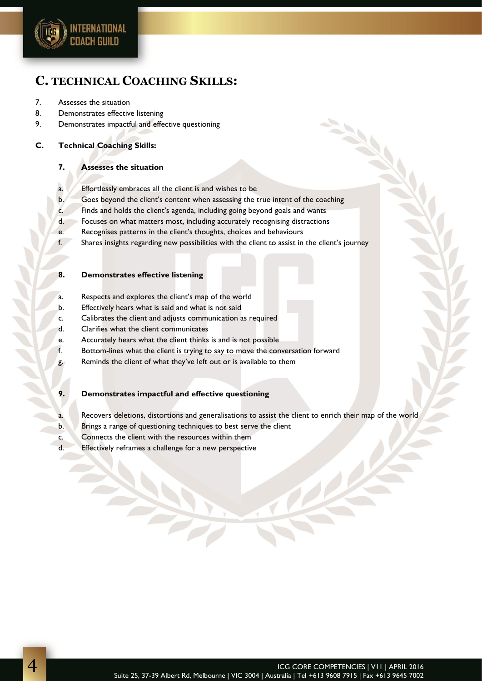

## **C. TECHNICAL COACHING SKILLS:**

#### 7. Assesses the situation

- 8. Demonstrates effective listening
- 9. Demonstrates impactful and effective questioning

#### **C. Technical Coaching Skills:**

#### **7. Assesses the situation**

- a. Effortlessly embraces all the client is and wishes to be
- b. Goes beyond the client's content when assessing the true intent of the coaching
- c. Finds and holds the client's agenda, including going beyond goals and wants
- d. Focuses on what matters most, including accurately recognising distractions
- e. Recognises patterns in the client's thoughts, choices and behaviours
- f. Shares insights regarding new possibilities with the client to assist in the client's journey

#### **8. Demonstrates effective listening**

- a. Respects and explores the client's map of the world
- b. Effectively hears what is said and what is not said
- c. Calibrates the client and adjusts communication as required
- d. Clarifies what the client communicates
- e. Accurately hears what the client thinks is and is not possible
- f. Bottom-lines what the client is trying to say to move the conversation forward
- g. Reminds the client of what they've left out or is available to them

#### **9. Demonstrates impactful and effective questioning**

- a. Recovers deletions, distortions and generalisations to assist the client to enrich their map of the world
- b. Brings a range of questioning techniques to best serve the client
- c. Connects the client with the resources within them
- d. Effectively reframes a challenge for a new perspective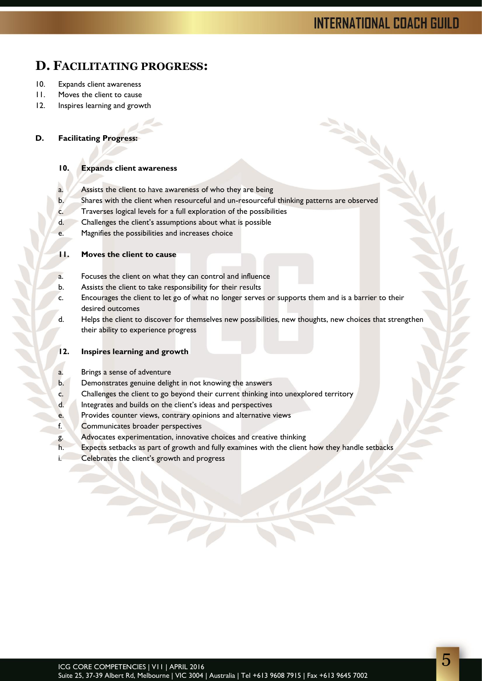# **INTERNATIONAL COACH GUILD**

## **D. FACILITATING PROGRESS:**

- 10. Expands client awareness
- 11. Moves the client to cause
- 12. Inspires learning and growth

#### **D. Facilitating Progress:**

#### **10. Expands client awareness**

- a. Assists the client to have awareness of who they are being
- b. Shares with the client when resourceful and un-resourceful thinking patterns are observed
- c. Traverses logical levels for a full exploration of the possibilities
- d. Challenges the client's assumptions about what is possible
- e. Magnifies the possibilities and increases choice

#### **11. Moves the client to cause**

- a. Focuses the client on what they can control and influence
- b. Assists the client to take responsibility for their results
- c. Encourages the client to let go of what no longer serves or supports them and is a barrier to their desired outcomes
- d. Helps the client to discover for themselves new possibilities, new thoughts, new choices that strengthen their ability to experience progress

#### **12. Inspires learning and growth**

- a. Brings a sense of adventure
- b. Demonstrates genuine delight in not knowing the answers
- c. Challenges the client to go beyond their current thinking into unexplored territory
- d. Integrates and builds on the client's ideas and perspectives
- e. Provides counter views, contrary opinions and alternative views
- f. Communicates broader perspectives
- g. Advocates experimentation, innovative choices and creative thinking
- h. Expects setbacks as part of growth and fully examines with the client how they handle setbacks
- i. Celebrates the client's growth and progress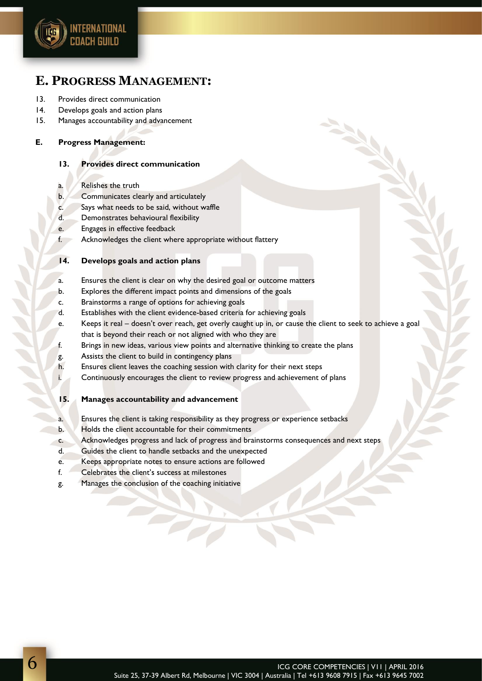

## **E. PROGRESS MANAGEMENT:**

- 13. Provides direct communication
- 14. Develops goals and action plans
- 15. Manages accountability and advancement

#### **E. Progress Management:**

#### **13. Provides direct communication**

- a. Relishes the truth
- b. Communicates clearly and articulately
- c. Says what needs to be said, without waffle
- d. Demonstrates behavioural flexibility
- e. Engages in effective feedback
- f. Acknowledges the client where appropriate without flattery

#### **14. Develops goals and action plans**

- a. Ensures the client is clear on why the desired goal or outcome matters
- b. Explores the different impact points and dimensions of the goals
- c. Brainstorms a range of options for achieving goals
- d. Establishes with the client evidence-based criteria for achieving goals
- e. Keeps it real doesn't over reach, get overly caught up in, or cause the client to seek to achieve a goal that is beyond their reach or not aligned with who they are
- f. Brings in new ideas, various view points and alternative thinking to create the plans
- g. Assists the client to build in contingency plans
- h. Ensures client leaves the coaching session with clarity for their next steps
- i. Continuously encourages the client to review progress and achievement of plans
- **15. Manages accountability and advancement**
- a. Ensures the client is taking responsibility as they progress or experience setbacks
- b. Holds the client accountable for their commitments
- c. Acknowledges progress and lack of progress and brainstorms consequences and next steps
- d. Guides the client to handle setbacks and the unexpected
- e. Keeps appropriate notes to ensure actions are followed

 $\widetilde{\phantom{a}}$ 

- f. Celebrates the client's success at milestones
- g. Manages the conclusion of the coaching initiative